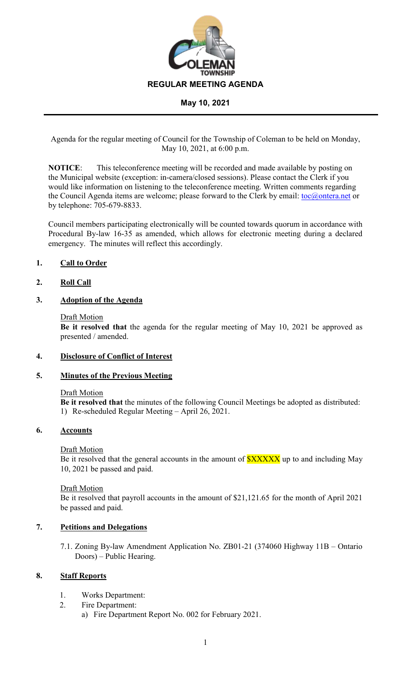

Agenda for the regular meeting of Council for the Township of Coleman to be held on Monday, May 10, 2021, at 6:00 p.m.

**NOTICE**: This teleconference meeting will be recorded and made available by posting on the Municipal website (exception: in-camera/closed sessions). Please contact the Clerk if you would like information on listening to the teleconference meeting. Written comments regarding the Council Agenda items are welcome; please forward to the Clerk by email: [toc@ontera.net](mailto:toc@ontera.net) or by telephone: 705-679-8833.

Council members participating electronically will be counted towards quorum in accordance with Procedural By-law 16-35 as amended, which allows for electronic meeting during a declared emergency. The minutes will reflect this accordingly.

## **1. Call to Order**

### **2. Roll Call**

## **3. Adoption of the Agenda**

### Draft Motion

**Be it resolved that** the agenda for the regular meeting of May 10, 2021 be approved as presented / amended.

### **4. Disclosure of Conflict of Interest**

### **5. Minutes of the Previous Meeting**

### Draft Motion

**Be it resolved that** the minutes of the following Council Meetings be adopted as distributed: 1) Re-scheduled Regular Meeting – April 26, 2021.

### **6. Accounts**

### Draft Motion

Be it resolved that the general accounts in the amount of **\$XXXXX** up to and including May 10, 2021 be passed and paid.

### Draft Motion

Be it resolved that payroll accounts in the amount of \$21,121.65 for the month of April 2021 be passed and paid.

# **7. Petitions and Delegations**

7.1. Zoning By-law Amendment Application No. ZB01-21 (374060 Highway 11B – Ontario Doors) – Public Hearing.

## **8. Staff Reports**

- 1. Works Department:
- 2. Fire Department:
	- a) Fire Department Report No. 002 for February 2021.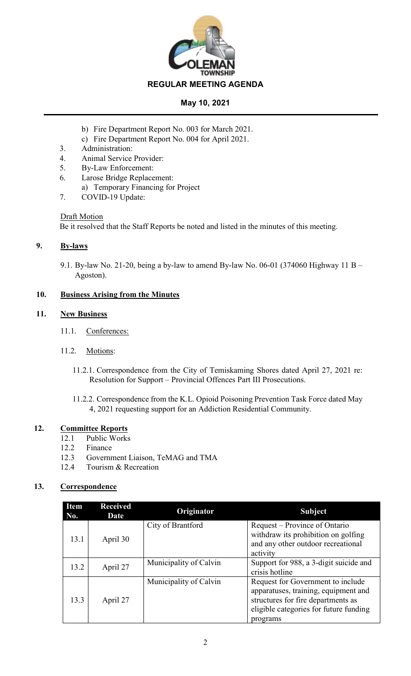

- b) Fire Department Report No. 003 for March 2021.
- c) Fire Department Report No. 004 for April 2021.
- 3. Administration:
- 4. Animal Service Provider:
- 5. By-Law Enforcement:
- 6. Larose Bridge Replacement:
	- a) Temporary Financing for Project
- 7. COVID-19 Update:

# Draft Motion

Be it resolved that the Staff Reports be noted and listed in the minutes of this meeting.

# **9. By-laws**

9.1. By-law No. 21-20, being a by-law to amend By-law No. 06-01 (374060 Highway 11 B – Agoston).

# **10. Business Arising from the Minutes**

# **11. New Business**

- 11.1. Conferences:
- 11.2. Motions:
	- 11.2.1. Correspondence from the City of Temiskaming Shores dated April 27, 2021 re: Resolution for Support – Provincial Offences Part III Prosecutions.
	- 11.2.2. Correspondence from the K.L. Opioid Poisoning Prevention Task Force dated May 4, 2021 requesting support for an Addiction Residential Community.

# **12. Committee Reports**

- 12.1 Public Works
- 12.2 Finance
- 12.3 Government Liaison, TeMAG and TMA
- 12.4 Tourism & Recreation

# **13. Correspondence**

| <b>Item</b><br>No. | <b>Received</b><br>Date | Originator             | <b>Subject</b>                                                                                                                                                        |
|--------------------|-------------------------|------------------------|-----------------------------------------------------------------------------------------------------------------------------------------------------------------------|
| 13.1               | April 30                | City of Brantford      | Request – Province of Ontario<br>withdraw its prohibition on golfing<br>and any other outdoor recreational<br>activity                                                |
| 13.2               | April 27                | Municipality of Calvin | Support for 988, a 3-digit suicide and<br>crisis hotline                                                                                                              |
| 13.3               | April 27                | Municipality of Calvin | Request for Government to include<br>apparatuses, training, equipment and<br>structures for fire departments as<br>eligible categories for future funding<br>programs |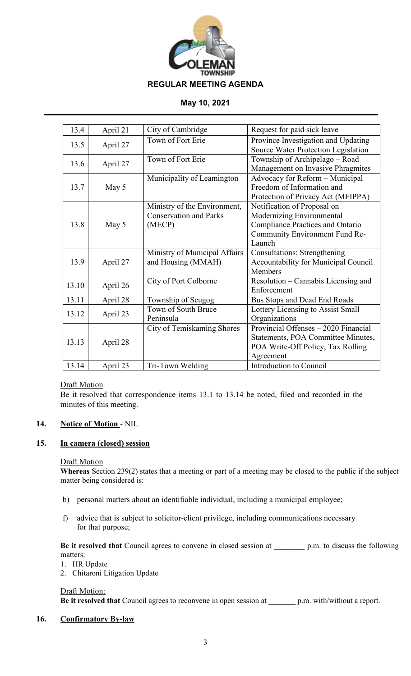

| 13.4  | April 21 | City of Cambridge             | Request for paid sick leave             |
|-------|----------|-------------------------------|-----------------------------------------|
|       |          | Town of Fort Erie             |                                         |
| 13.5  | April 27 |                               | Province Investigation and Updating     |
|       |          |                               | Source Water Protection Legislation     |
| 13.6  | April 27 | Town of Fort Erie             | Township of Archipelago - Road          |
|       |          |                               | Management on Invasive Phragmites       |
|       |          | Municipality of Leamington    | Advocacy for Reform - Municipal         |
| 13.7  | May 5    |                               | Freedom of Information and              |
|       |          |                               | Protection of Privacy Act (MFIPPA)      |
|       |          | Ministry of the Environment,  | Notification of Proposal on             |
| 13.8  | May 5    | <b>Conservation and Parks</b> | Modernizing Environmental               |
|       |          | (MECP)                        | <b>Compliance Practices and Ontario</b> |
|       |          |                               | Community Environment Fund Re-          |
|       |          |                               | Launch                                  |
|       |          | Ministry of Municipal Affairs | <b>Consultations: Strengthening</b>     |
| 13.9  | April 27 | and Housing (MMAH)            | Accountability for Municipal Council    |
|       |          |                               | Members                                 |
|       |          | City of Port Colborne         | Resolution - Cannabis Licensing and     |
| 13.10 | April 26 |                               | Enforcement                             |
| 13.11 | April 28 | Township of Scugog            | Bus Stops and Dead End Roads            |
| 13.12 | April 23 | Town of South Bruce           | Lottery Licensing to Assist Small       |
|       |          | Peninsula                     | Organizations                           |
|       |          | City of Temiskaming Shores    | Provincial Offenses - 2020 Financial    |
|       |          |                               | Statements, POA Committee Minutes,      |
| 13.13 | April 28 |                               | POA Write-Off Policy, Tax Rolling       |
|       |          |                               | Agreement                               |
| 13.14 | April 23 | Tri-Town Welding              | Introduction to Council                 |
|       |          |                               |                                         |

### Draft Motion

Be it resolved that correspondence items 13.1 to 13.14 be noted, filed and recorded in the minutes of this meeting.

### **14. Notice of Motion** - NIL

### **15. In camera (closed) session**

### Draft Motion

**Whereas** Section 239(2) states that a meeting or part of a meeting may be closed to the public if the subject matter being considered is:

- b) personal matters about an identifiable individual, including a municipal employee;
- f) advice that is subject to solicitor-client privilege, including communications necessary for that purpose;

**Be it resolved that** Council agrees to convene in closed session at \_\_\_\_\_\_\_\_ p.m. to discuss the following matters:

- 1. HR Update
- 2. Chitaroni Litigation Update

### Draft Motion:

**Be it resolved that** Council agrees to reconvene in open session at \_\_\_\_\_\_\_ p.m. with/without a report.

### **16. Confirmatory By-law**